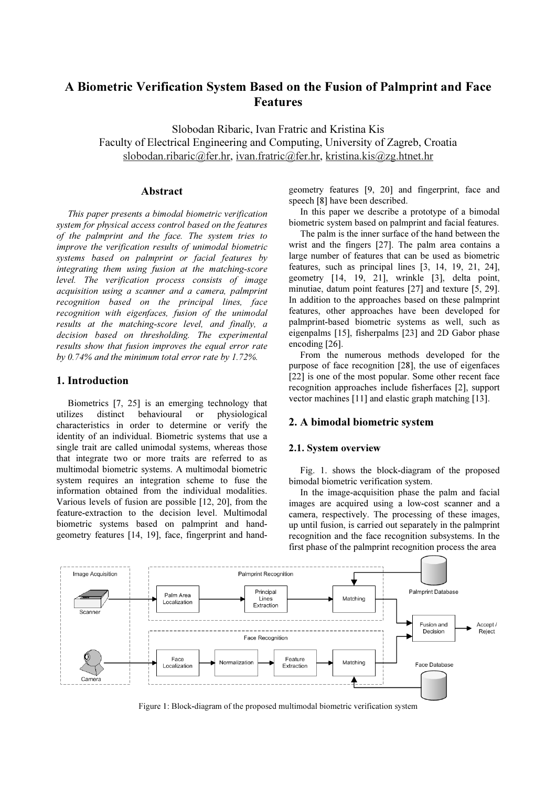# A Biometric Verification System Based on the Fusion of Palmprint and Face Features

Slobodan Ribaric, Ivan Fratric and Kristina Kis Faculty of Electrical Engineering and Computing, University of Zagreb, Croatia slobodan.ribaric@fer.hr, ivan.fratric@fer.hr, kristina.kis@zg.htnet.hr

# Abstract

This paper presents a bimodal biometric verification system for physical access control based on the features of the palmprint and the face. The system tries to improve the verification results of unimodal biometric systems based on palmprint or facial features by integrating them using fusion at the matching-score level. The verification process consists of image acquisition using a scanner and a camera, palmprint recognition based on the principal lines, face recognition with eigenfaces, fusion of the unimodal results at the matching-score level, and finally, a decision based on thresholding. The experimental results show that fusion improves the equal error rate by 0.74% and the minimum total error rate by 1.72%.

# 1. Introduction

Biometrics [7, 25] is an emerging technology that utilizes distinct behavioural or physiological characteristics in order to determine or verify the identity of an individual. Biometric systems that use a single trait are called unimodal systems, whereas those that integrate two or more traits are referred to as multimodal biometric systems. A multimodal biometric system requires an integration scheme to fuse the information obtained from the individual modalities. Various levels of fusion are possible [12, 20], from the feature-extraction to the decision level. Multimodal biometric systems based on palmprint and handgeometry features [14, 19], face, fingerprint and handgeometry features [9, 20] and fingerprint, face and speech [8] have been described.

In this paper we describe a prototype of a bimodal biometric system based on palmprint and facial features.

The palm is the inner surface of the hand between the wrist and the fingers [27]. The palm area contains a large number of features that can be used as biometric features, such as principal lines [3, 14, 19, 21, 24], geometry [14, 19, 21], wrinkle [3], delta point, minutiae, datum point features [27] and texture [5, 29]. In addition to the approaches based on these palmprint features, other approaches have been developed for palmprint-based biometric systems as well, such as eigenpalms [15], fisherpalms [23] and 2D Gabor phase encoding [26].

From the numerous methods developed for the purpose of face recognition [28], the use of eigenfaces [22] is one of the most popular. Some other recent face recognition approaches include fisherfaces [2], support vector machines [11] and elastic graph matching [13].

# 2. A bimodal biometric system

## 2.1. System overview

Fig. 1. shows the block-diagram of the proposed bimodal biometric verification system.

In the image-acquisition phase the palm and facial images are acquired using a low-cost scanner and a camera, respectively. The processing of these images, up until fusion, is carried out separately in the palmprint recognition and the face recognition subsystems. In the first phase of the palmprint recognition process the area



Figure 1: Block-diagram of the proposed multimodal biometric verification system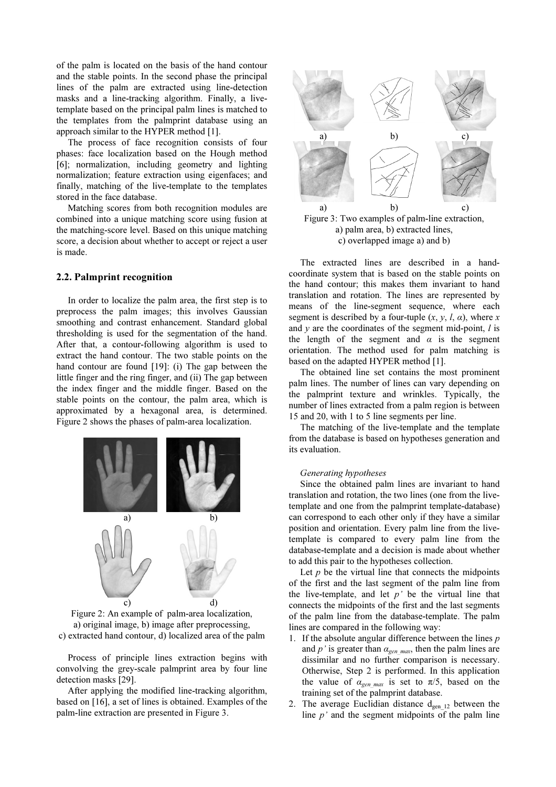of the palm is located on the basis of the hand contour and the stable points. In the second phase the principal lines of the palm are extracted using line-detection masks and a line-tracking algorithm. Finally, a livetemplate based on the principal palm lines is matched to the templates from the palmprint database using an approach similar to the HYPER method [1].

The process of face recognition consists of four phases: face localization based on the Hough method [6]; normalization, including geometry and lighting normalization; feature extraction using eigenfaces; and finally, matching of the live-template to the templates stored in the face database.

Matching scores from both recognition modules are combined into a unique matching score using fusion at the matching-score level. Based on this unique matching score, a decision about whether to accept or reject a user is made.

### 2.2. Palmprint recognition

In order to localize the palm area, the first step is to preprocess the palm images; this involves Gaussian smoothing and contrast enhancement. Standard global thresholding is used for the segmentation of the hand. After that, a contour-following algorithm is used to extract the hand contour. The two stable points on the hand contour are found [19]: (i) The gap between the little finger and the ring finger, and (ii) The gap between the index finger and the middle finger. Based on the stable points on the contour, the palm area, which is approximated by a hexagonal area, is determined. Figure 2 shows the phases of palm-area localization.





Process of principle lines extraction begins with convolving the grey-scale palmprint area by four line detection masks [29].

After applying the modified line-tracking algorithm, based on [16], a set of lines is obtained. Examples of the palm-line extraction are presented in Figure 3.



Figure 3: Two examples of palm-line extraction, a) palm area, b) extracted lines, c) overlapped image a) and b)

The extracted lines are described in a handcoordinate system that is based on the stable points on the hand contour; this makes them invariant to hand translation and rotation. The lines are represented by means of the line-segment sequence, where each segment is described by a four-tuple  $(x, y, l, \alpha)$ , where x and  $\nu$  are the coordinates of the segment mid-point,  $l$  is the length of the segment and  $\alpha$  is the segment orientation. The method used for palm matching is based on the adapted HYPER method [1].

The obtained line set contains the most prominent palm lines. The number of lines can vary depending on the palmprint texture and wrinkles. Typically, the number of lines extracted from a palm region is between 15 and 20, with 1 to 5 line segments per line.

The matching of the live-template and the template from the database is based on hypotheses generation and its evaluation.

#### Generating hypotheses

Since the obtained palm lines are invariant to hand translation and rotation, the two lines (one from the livetemplate and one from the palmprint template-database) can correspond to each other only if they have a similar position and orientation. Every palm line from the livetemplate is compared to every palm line from the database-template and a decision is made about whether to add this pair to the hypotheses collection.

Let  $p$  be the virtual line that connects the midpoints of the first and the last segment of the palm line from the live-template, and let  $p'$  be the virtual line that connects the midpoints of the first and the last segments of the palm line from the database-template. The palm lines are compared in the following way:

- 1. If the absolute angular difference between the lines  $p$ and p' is greater than  $\alpha_{\text{gen,max}}$ , then the palm lines are dissimilar and no further comparison is necessary. Otherwise, Step 2 is performed. In this application the value of  $\alpha_{gen \, max}$  is set to  $\pi/5$ , based on the training set of the palmprint database.
- 2. The average Euclidian distance  $d_{gen 12}$  between the line  $p'$  and the segment midpoints of the palm line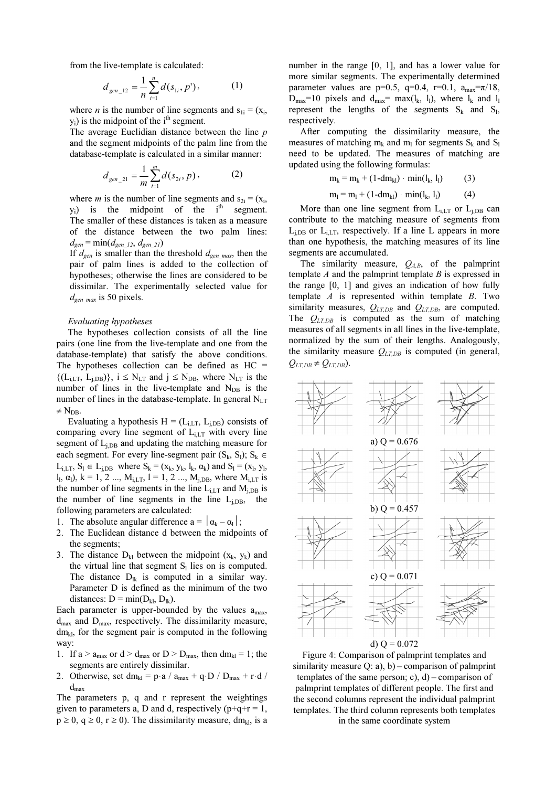from the live-template is calculated:

$$
d_{gen\_12} = \frac{1}{n} \sum_{i=1}^{n} d(s_{1i}, p'), \qquad (1)
$$

where *n* is the number of line segments and  $s_{1i} = (x_i, y_i)$  is the midnesipt of the  $i<sup>th</sup>$  segment.  $y_i$ ) is the midpoint of the i<sup>th</sup> segment.

The average Euclidian distance between the line  $p$ and the segment midpoints of the palm line from the database-template is calculated in a similar manner:

$$
d_{gen\_21} = \frac{1}{m} \sum_{i=1}^{m} d(s_{2i}, p),
$$
 (2)

where *m* is the number of line segments and  $s_{2i} = (x_i,$  $y_i$ ) is the midpoint of the  $i<sup>th</sup>$  segment. The smaller of these distances is taken as a measure of the distance between the two palm lines:  $d_{gen} = \min(d_{gen 12}, d_{gen 21})$ 

If  $d_{gen}$  is smaller than the threshold  $d_{gen}$  max, then the pair of palm lines is added to the collection of hypotheses; otherwise the lines are considered to be dissimilar. The experimentally selected value for  $d_{gen \, max}$  is 50 pixels.

#### Evaluating hypotheses

The hypotheses collection consists of all the line pairs (one line from the live-template and one from the database-template) that satisfy the above conditions. The hypotheses collection can be defined as  $HC =$  $\{(\mathbf{L}_{i,LT}, \mathbf{L}_{i,DB})\}, i \leq \mathbf{N}_{LT}$  and  $i \leq \mathbf{N}_{DB}$ , where  $\mathbf{N}_{LT}$  is the number of lines in the live-template and  $N_{DB}$  is the number of lines in the database-template. In general  $N_{LT}$  $\neq$  N<sub>DB</sub>.

Evaluating a hypothesis  $H = (L_{i,LT}, L_{i,DB})$  consists of comparing every line segment of  $L_{i,LT}$  with every line segment of  $L_{i,DB}$  and updating the matching measure for each segment. For every line-segment pair  $(S_k, S_l)$ ;  $S_k \in$  $L_{i,LT}$ ,  $S_l \in L_{i,DB}$  where  $S_k = (x_k, y_k, l_k, \alpha_k)$  and  $S_l = (x_l, y_l, \alpha_k)$ l<sub>l</sub>,  $\alpha$ <sub>l</sub>), k = 1, 2 ..., M<sub>i,LT</sub>, l = 1, 2 ..., M<sub>i,DB</sub>, where M<sub>i,LT</sub> is the number of line segments in the line  $L_{iLT}$  and  $M_{iDB}$  is the number of line segments in the line  $L<sub>iDB</sub>$ , the following parameters are calculated:

- 1. The absolute angular difference  $a = |\alpha_k \alpha_1|$ ;
- 2. The Euclidean distance d between the midpoints of the segments;
- 3. The distance  $D_{kl}$  between the midpoint  $(x_k, y_k)$  and the virtual line that segment  $S<sub>l</sub>$  lies on is computed. The distance  $D_{lk}$  is computed in a similar way. Parameter D is defined as the minimum of the two distances:  $D = min(D_{kl}, D_{lk})$ .

Each parameter is upper-bounded by the values  $a_{\text{max}}$ ,  $d_{\text{max}}$  and  $D_{\text{max}}$ , respectively. The dissimilarity measure,  $dm<sub>kl</sub>$ , for the segment pair is computed in the following way:

- 1. If  $a > a_{max}$  or  $d > d_{max}$  or  $D > D_{max}$ , then  $dm_{kl} = 1$ ; the segments are entirely dissimilar.
- 2. Otherwise, set dm<sub>kl</sub> = p·a /  $a_{max} + q \cdot D$  /  $D_{max} + r \cdot d$  /  $d_{\text{max}}$

The parameters p, q and r represent the weightings given to parameters a, D and d, respectively ( $p+q+r = 1$ ,  $p \ge 0$ ,  $q \ge 0$ ,  $r \ge 0$ ). The dissimilarity measure, dm<sub>kl</sub>, is a

number in the range [0, 1], and has a lower value for more similar segments. The experimentally determined parameter values are p=0.5, q=0.4, r=0.1,  $a_{\text{max}} = \pi/18$ ,  $D_{\text{max}}=10$  pixels and  $d_{\text{max}}= \text{max}(l_k, l_l)$ , where  $l_k$  and  $l_l$ represent the lengths of the segments  $S_k$  and  $S_l$ , respectively.

After computing the dissimilarity measure, the measures of matching  $m_k$  and  $m_l$  for segments  $S_k$  and  $S_l$ need to be updated. The measures of matching are updated using the following formulas:

$$
m_k = m_k + (1-dm_{kl}) \cdot min(l_k, l_l)
$$
 (3)

$$
m_1 = m_1 + (1-dm_{kl}) \cdot min(l_k, l_l)
$$
 (4)

More than one line segment from  $L_{i,LT}$  or  $L_{i,DB}$  can contribute to the matching measure of segments from  $L<sub>i,DB</sub>$  or  $L<sub>i,LT</sub>$ , respectively. If a line L appears in more than one hypothesis, the matching measures of its line segments are accumulated.

The similarity measure,  $Q_{A,B}$ , of the palmprint template  $A$  and the palmprint template  $B$  is expressed in the range [0, 1] and gives an indication of how fully template  $A$  is represented within template  $B$ . Two similarity measures,  $Q_{LT,DB}$  and  $Q_{LT,DB}$ , are computed. The  $Q_{LT,DB}$  is computed as the sum of matching measures of all segments in all lines in the live-template, normalized by the sum of their lengths. Analogously, the similarity measure  $Q_{LT,DB}$  is computed (in general,  $Q_{LT,DB} \neq Q_{LT,DB}$ ).



Figure 4: Comparison of palmprint templates and similarity measure Q: a), b) – comparison of palmprint templates of the same person; c),  $d$ ) – comparison of palmprint templates of different people. The first and the second columns represent the individual palmprint templates. The third column represents both templates in the same coordinate system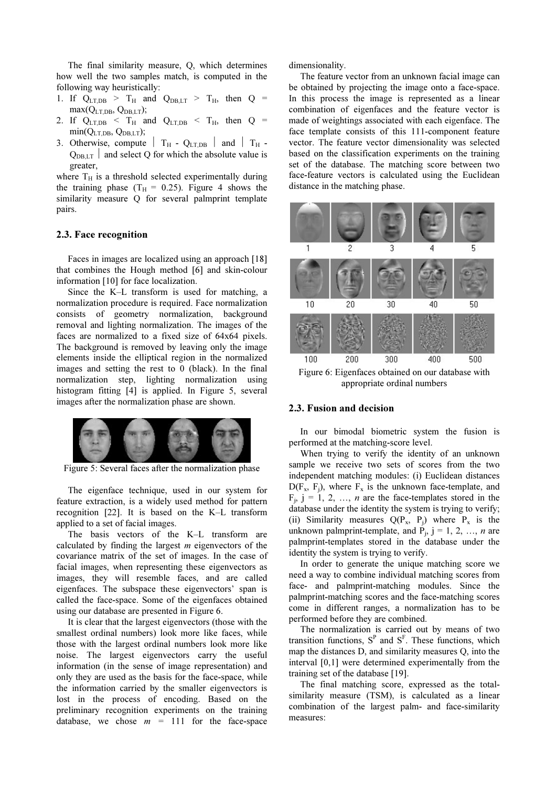The final similarity measure, Q, which determines how well the two samples match, is computed in the following way heuristically:

- 1. If  $Q_{LT,DB} > T_H$  and  $Q_{DB,LT} > T_H$ , then  $Q =$  $\max(Q_{LT,DB}, Q_{DB,LT});$
- 2. If  $Q_{LT,DB} < T_H$  and  $Q_{LT,DB} < T_H$ , then  $Q = \min(Q)$  $min(Q_{LT,DB}, Q_{DB,LT});$
- 3. Otherwise, compute  $\parallel$  T<sub>H</sub> Q<sub>LT,DB</sub>  $\parallel$  and  $\parallel$  T<sub>H</sub> - $Q_{DB,LT}$  and select Q for which the absolute value is greater,

where  $T_H$  is a threshold selected experimentally during the training phase ( $T_H = 0.25$ ). Figure 4 shows the similarity measure Q for several palmprint template pairs.

## 2.3. Face recognition

Faces in images are localized using an approach [18] that combines the Hough method [6] and skin-colour information [10] for face localization.

Since the K–L transform is used for matching, a normalization procedure is required. Face normalization consists of geometry normalization, background removal and lighting normalization. The images of the faces are normalized to a fixed size of 64x64 pixels. The background is removed by leaving only the image elements inside the elliptical region in the normalized images and setting the rest to 0 (black). In the final normalization step, lighting normalization using histogram fitting [4] is applied. In Figure 5, several images after the normalization phase are shown.



Figure 5: Several faces after the normalization phase

The eigenface technique, used in our system for feature extraction, is a widely used method for pattern recognition [22]. It is based on the K–L transform applied to a set of facial images.

The basis vectors of the K–L transform are calculated by finding the largest  $m$  eigenvectors of the covariance matrix of the set of images. In the case of facial images, when representing these eigenvectors as images, they will resemble faces, and are called eigenfaces. The subspace these eigenvectors' span is called the face-space. Some of the eigenfaces obtained using our database are presented in Figure 6.

It is clear that the largest eigenvectors (those with the smallest ordinal numbers) look more like faces, while those with the largest ordinal numbers look more like noise. The largest eigenvectors carry the useful information (in the sense of image representation) and only they are used as the basis for the face-space, while the information carried by the smaller eigenvectors is lost in the process of encoding. Based on the preliminary recognition experiments on the training database, we chose  $m = 111$  for the face-space dimensionality.

The feature vector from an unknown facial image can be obtained by projecting the image onto a face-space. In this process the image is represented as a linear combination of eigenfaces and the feature vector is made of weightings associated with each eigenface. The face template consists of this 111-component feature vector. The feature vector dimensionality was selected based on the classification experiments on the training set of the database. The matching score between two face-feature vectors is calculated using the Euclidean distance in the matching phase.



Figure 6: Eigenfaces obtained on our database with appropriate ordinal numbers

#### 2.3. Fusion and decision

In our bimodal biometric system the fusion is performed at the matching-score level.

When trying to verify the identity of an unknown sample we receive two sets of scores from the two independent matching modules: (i) Euclidean distances  $D(F_x, F_i)$ , where  $F_x$  is the unknown face-template, and  $F_i$ ,  $j = 1, 2, ..., n$  are the face-templates stored in the database under the identity the system is trying to verify; (ii) Similarity measures  $Q(P_x, P_i)$  where  $P_x$  is the unknown palmprint-template, and  $\dot{P}_i$ ,  $j = 1, 2, ..., n$  are palmprint-templates stored in the database under the identity the system is trying to verify.

In order to generate the unique matching score we need a way to combine individual matching scores from face- and palmprint-matching modules. Since the palmprint-matching scores and the face-matching scores come in different ranges, a normalization has to be performed before they are combined.

The normalization is carried out by means of two transition functions,  $S<sup>P</sup>$  and  $S<sup>F</sup>$ . These functions, which map the distances D, and similarity measures Q, into the interval [0,1] were determined experimentally from the training set of the database [19].

The final matching score, expressed as the totalsimilarity measure (TSM), is calculated as a linear combination of the largest palm- and face-similarity measures: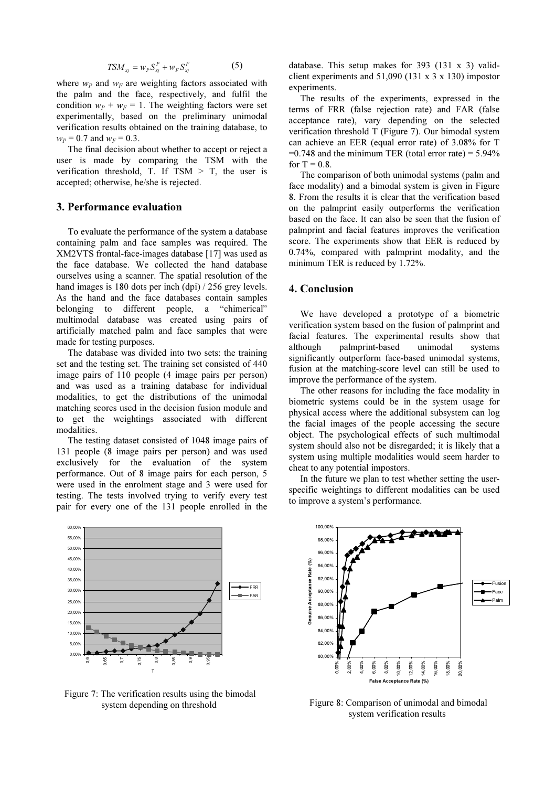$$
TSM_{xj} = w_p S_{xj}^P + w_{F} S_{xj}^F \tag{5}
$$

where  $w_P$  and  $w_F$  are weighting factors associated with the palm and the face, respectively, and fulfil the condition  $w_P + w_F = 1$ . The weighting factors were set experimentally, based on the preliminary unimodal verification results obtained on the training database, to  $w_P = 0.7$  and  $w_F = 0.3$ .

The final decision about whether to accept or reject a user is made by comparing the TSM with the verification threshold, T. If  $TSM > T$ , the user is accepted; otherwise, he/she is rejected.

## 3. Performance evaluation

To evaluate the performance of the system a database containing palm and face samples was required. The XM2VTS frontal-face-images database [17] was used as the face database. We collected the hand database ourselves using a scanner. The spatial resolution of the hand images is 180 dots per inch (dpi) / 256 grey levels. As the hand and the face databases contain samples belonging to different people, a "chimerical" multimodal database was created using pairs of artificially matched palm and face samples that were made for testing purposes.

The database was divided into two sets: the training set and the testing set. The training set consisted of 440 image pairs of 110 people (4 image pairs per person) and was used as a training database for individual modalities, to get the distributions of the unimodal matching scores used in the decision fusion module and to get the weightings associated with different modalities.

The testing dataset consisted of 1048 image pairs of 131 people (8 image pairs per person) and was used exclusively for the evaluation of the system performance. Out of 8 image pairs for each person, 5 were used in the enrolment stage and 3 were used for testing. The tests involved trying to verify every test pair for every one of the 131 people enrolled in the



 Figure 7: The verification results using the bimodal system depending on threshold

database. This setup makes for 393 (131 x 3) validclient experiments and  $51,090$  (131 x 3 x 130) impostor experiments.

The results of the experiments, expressed in the terms of FRR (false rejection rate) and FAR (false acceptance rate), vary depending on the selected verification threshold T (Figure 7). Our bimodal system can achieve an EER (equal error rate) of 3.08% for T  $=0.748$  and the minimum TER (total error rate)  $= 5.94\%$ for  $T = 0.8$ .

The comparison of both unimodal systems (palm and face modality) and a bimodal system is given in Figure 8. From the results it is clear that the verification based on the palmprint easily outperforms the verification based on the face. It can also be seen that the fusion of palmprint and facial features improves the verification score. The experiments show that EER is reduced by 0.74%, compared with palmprint modality, and the minimum TER is reduced by 1.72%.

# 4. Conclusion

We have developed a prototype of a biometric verification system based on the fusion of palmprint and facial features. The experimental results show that although palmprint-based unimodal systems significantly outperform face-based unimodal systems, fusion at the matching-score level can still be used to improve the performance of the system.

The other reasons for including the face modality in biometric systems could be in the system usage for physical access where the additional subsystem can log the facial images of the people accessing the secure object. The psychological effects of such multimodal system should also not be disregarded; it is likely that a system using multiple modalities would seem harder to cheat to any potential impostors.

In the future we plan to test whether setting the userspecific weightings to different modalities can be used to improve a system's performance.



 Figure 8: Comparison of unimodal and bimodal system verification results